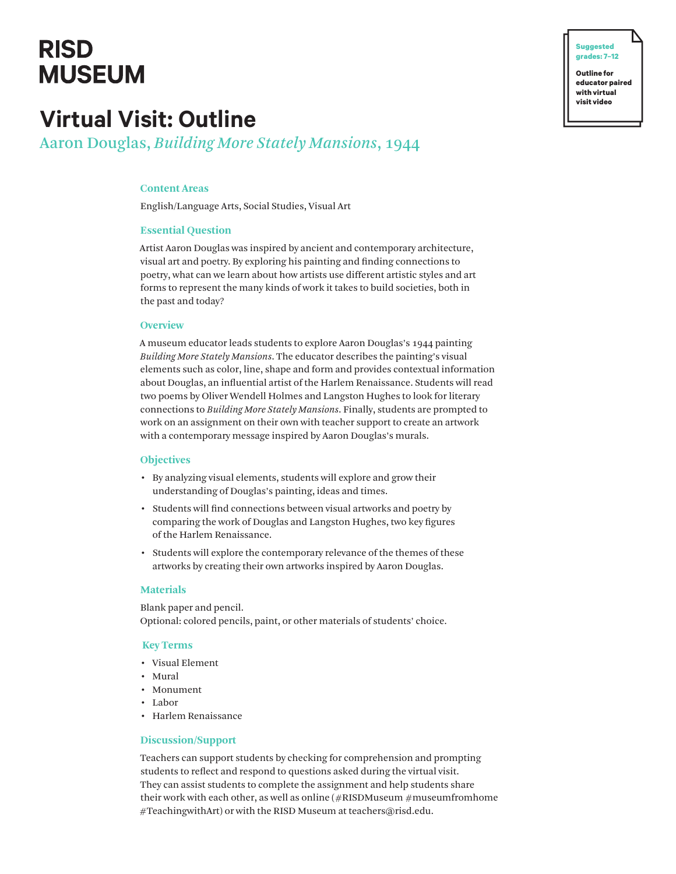# **RISD MUSEUM**

# **Virtual Visit: Outline**

Aaron Douglas, *Building More Stately Mansions*, 1944

# **Content Areas**

English/Language Arts, Social Studies, Visual Art

### **Essential Question**

Artist Aaron Douglas was inspired by ancient and contemporary architecture, visual art and poetry. By exploring his painting and finding connections to poetry, what can we learn about how artists use different artistic styles and art forms to represent the many kinds of work it takes to build societies, both in the past and today?

#### **Overview**

A museum educator leads students to explore Aaron Douglas's 1944 painting *Building More Stately Mansions*. The educator describes the painting's visual elements such as color, line, shape and form and provides contextual information about Douglas, an influential artist of the Harlem Renaissance. Students will read two poems by Oliver Wendell Holmes and Langston Hughes to look for literary connections to *Building More Stately Mansions*. Finally, students are prompted to work on an assignment on their own with teacher support to create an artwork with a contemporary message inspired by Aaron Douglas's murals.

#### **Objectives**

- By analyzing visual elements, students will explore and grow their understanding of Douglas's painting, ideas and times.
- Students will find connections between visual artworks and poetry by comparing the work of Douglas and Langston Hughes, two key figures of the Harlem Renaissance.
- Students will explore the contemporary relevance of the themes of these artworks by creating their own artworks inspired by Aaron Douglas.

## **Materials**

Blank paper and pencil. Optional: colored pencils, paint, or other materials of students' choice.

#### **Key Terms**

- Visual Element
- Mural
- Monument
- Labor
- Harlem Renaissance

# **Discussion/Support**

Teachers can support students by checking for comprehension and prompting students to reflect and respond to questions asked during the virtual visit. They can assist students to complete the assignment and help students share their work with each other, as well as online  $(\#RISDMuseum \#museumfromhome)$ #TeachingwithArt) or with the RISD Museum at teachers@risd.edu.

**� Suggested grades: 7–12 Outline for**

**educator paired with virtual visit video**